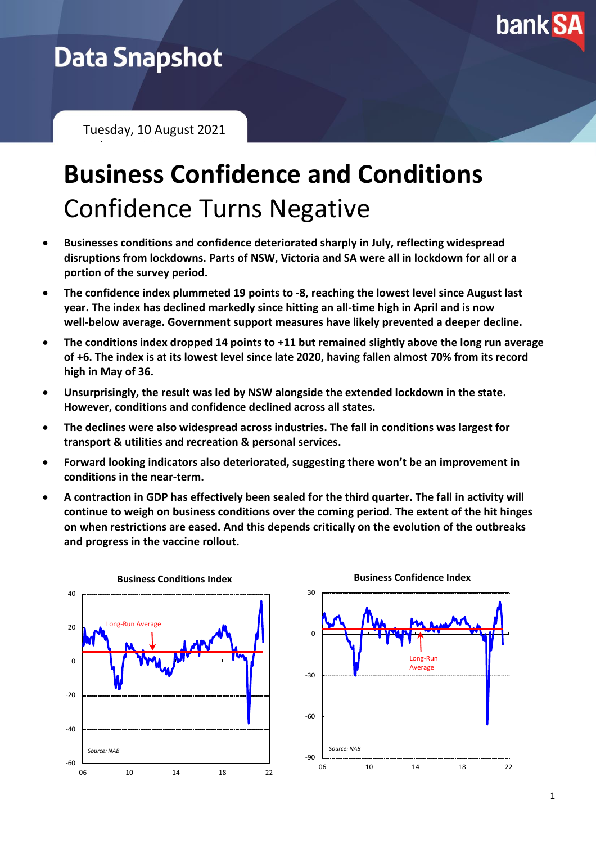

# **Data Snapshot**

February 2021

Tuesday, 10 August 2021

# **Business Confidence and Conditions** Confidence Turns Negative

- **Businesses conditions and confidence deteriorated sharply in July, reflecting widespread disruptions from lockdowns. Parts of NSW, Victoria and SA were all in lockdown for all or a portion of the survey period.**
- **The confidence index plummeted 19 points to -8, reaching the lowest level since August last year. The index has declined markedly since hitting an all-time high in April and is now well-below average. Government support measures have likely prevented a deeper decline.**
- **The conditions index dropped 14 points to +11 but remained slightly above the long run average of +6. The index is at its lowest level since late 2020, having fallen almost 70% from its record high in May of 36.**
- **Unsurprisingly, the result was led by NSW alongside the extended lockdown in the state. However, conditions and confidence declined across all states.**
- **The declines were also widespread across industries. The fall in conditions was largest for transport & utilities and recreation & personal services.**
- **Forward looking indicators also deteriorated, suggesting there won't be an improvement in conditions in the near-term.**
- **A contraction in GDP has effectively been sealed for the third quarter. The fall in activity will continue to weigh on business conditions over the coming period. The extent of the hit hinges on when restrictions are eased. And this depends critically on the evolution of the outbreaks and progress in the vaccine rollout.**



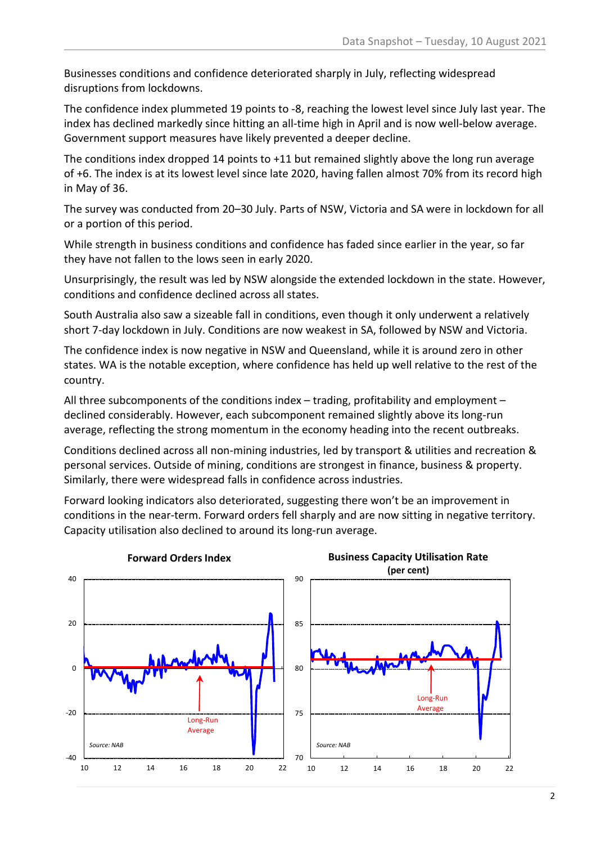Businesses conditions and confidence deteriorated sharply in July, reflecting widespread disruptions from lockdowns.

The confidence index plummeted 19 points to -8, reaching the lowest level since July last year. The index has declined markedly since hitting an all-time high in April and is now well-below average. Government support measures have likely prevented a deeper decline.

The conditions index dropped 14 points to +11 but remained slightly above the long run average of +6. The index is at its lowest level since late 2020, having fallen almost 70% from its record high in May of 36.

The survey was conducted from 20–30 July. Parts of NSW, Victoria and SA were in lockdown for all or a portion of this period.

While strength in business conditions and confidence has faded since earlier in the year, so far they have not fallen to the lows seen in early 2020.

Unsurprisingly, the result was led by NSW alongside the extended lockdown in the state. However, conditions and confidence declined across all states.

South Australia also saw a sizeable fall in conditions, even though it only underwent a relatively short 7-day lockdown in July. Conditions are now weakest in SA, followed by NSW and Victoria.

The confidence index is now negative in NSW and Queensland, while it is around zero in other states. WA is the notable exception, where confidence has held up well relative to the rest of the country.

All three subcomponents of the conditions index – trading, profitability and employment – declined considerably. However, each subcomponent remained slightly above its long-run average, reflecting the strong momentum in the economy heading into the recent outbreaks.

Conditions declined across all non-mining industries, led by transport & utilities and recreation & personal services. Outside of mining, conditions are strongest in finance, business & property. Similarly, there were widespread falls in confidence across industries.

Forward looking indicators also deteriorated, suggesting there won't be an improvement in conditions in the near-term. Forward orders fell sharply and are now sitting in negative territory. Capacity utilisation also declined to around its long-run average.

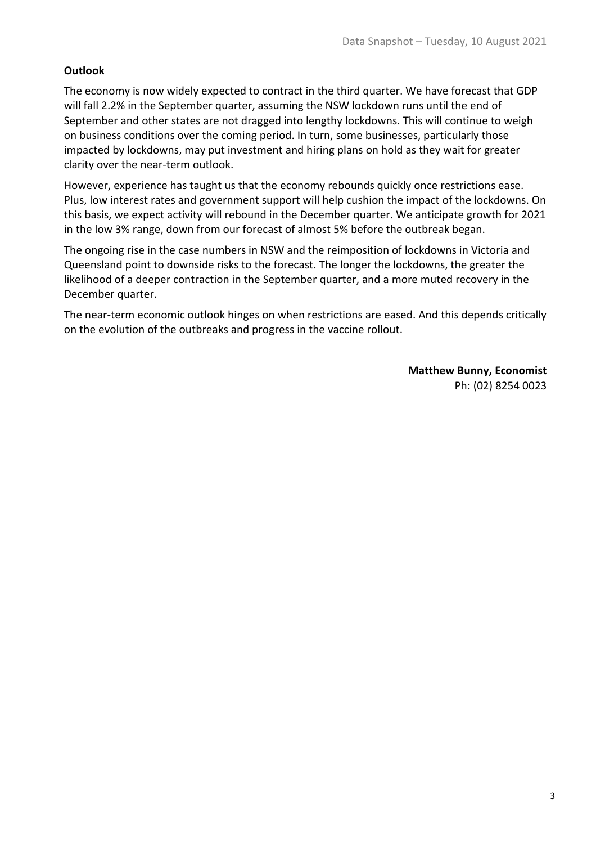## **Outlook**

The economy is now widely expected to contract in the third quarter. We have forecast that GDP will fall 2.2% in the September quarter, assuming the NSW lockdown runs until the end of September and other states are not dragged into lengthy lockdowns. This will continue to weigh on business conditions over the coming period. In turn, some businesses, particularly those impacted by lockdowns, may put investment and hiring plans on hold as they wait for greater clarity over the near-term outlook.

However, experience has taught us that the economy rebounds quickly once restrictions ease. Plus, low interest rates and government support will help cushion the impact of the lockdowns. On this basis, we expect activity will rebound in the December quarter. We anticipate growth for 2021 in the low 3% range, down from our forecast of almost 5% before the outbreak began.

The ongoing rise in the case numbers in NSW and the reimposition of lockdowns in Victoria and Queensland point to downside risks to the forecast. The longer the lockdowns, the greater the likelihood of a deeper contraction in the September quarter, and a more muted recovery in the December quarter.

The near-term economic outlook hinges on when restrictions are eased. And this depends critically on the evolution of the outbreaks and progress in the vaccine rollout.

> **Matthew Bunny, Economist** Ph: (02) 8254 0023